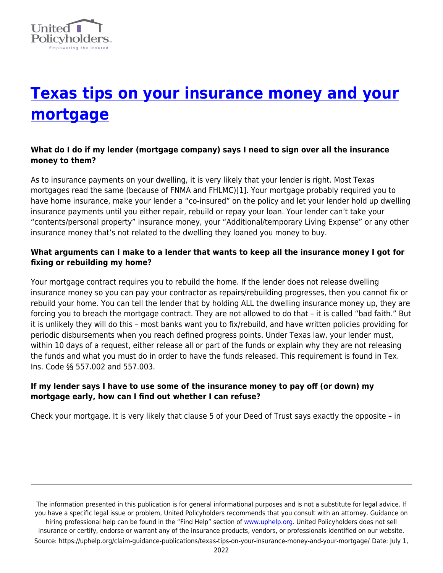

# **[Texas tips on your insurance money and your](https://uphelp.org/claim-guidance-publications/texas-tips-on-your-insurance-money-and-your-mortgage/) [mortgage](https://uphelp.org/claim-guidance-publications/texas-tips-on-your-insurance-money-and-your-mortgage/)**

# **What do I do if my lender (mortgage company) says I need to sign over all the insurance money to them?**

As to insurance payments on your dwelling, it is very likely that your lender is right. Most Texas mortgages read the same (because of FNMA and FHLMC)[1]. Your mortgage probably required you to have home insurance, make your lender a "co-insured" on the policy and let your lender hold up dwelling insurance payments until you either repair, rebuild or repay your loan. Your lender can't take your "contents/personal property" insurance money, your "Additional/temporary Living Expense" or any other insurance money that's not related to the dwelling they loaned you money to buy.

## **What arguments can I make to a lender that wants to keep all the insurance money I got for fixing or rebuilding my home?**

Your mortgage contract requires you to rebuild the home. If the lender does not release dwelling insurance money so you can pay your contractor as repairs/rebuilding progresses, then you cannot fix or rebuild your home. You can tell the lender that by holding ALL the dwelling insurance money up, they are forcing you to breach the mortgage contract. They are not allowed to do that – it is called "bad faith." But it is unlikely they will do this – most banks want you to fix/rebuild, and have written policies providing for periodic disbursements when you reach defined progress points. Under Texas law, your lender must, within 10 days of a request, either release all or part of the funds or explain why they are not releasing the funds and what you must do in order to have the funds released. This requirement is found in Tex. Ins. Code §§ 557.002 and 557.003.

### **If my lender says I have to use some of the insurance money to pay off (or down) my mortgage early, how can I find out whether I can refuse?**

Check your mortgage. It is very likely that clause 5 of your Deed of Trust says exactly the opposite – in

The information presented in this publication is for general informational purposes and is not a substitute for legal advice. If you have a specific legal issue or problem, United Policyholders recommends that you consult with an attorney. Guidance on hiring professional help can be found in the "Find Help" section of [www.uphelp.org.](http://www.uphelp.org/) United Policyholders does not sell insurance or certify, endorse or warrant any of the insurance products, vendors, or professionals identified on our website. Source: https://uphelp.org/claim-guidance-publications/texas-tips-on-your-insurance-money-and-your-mortgage/ Date: July 1,